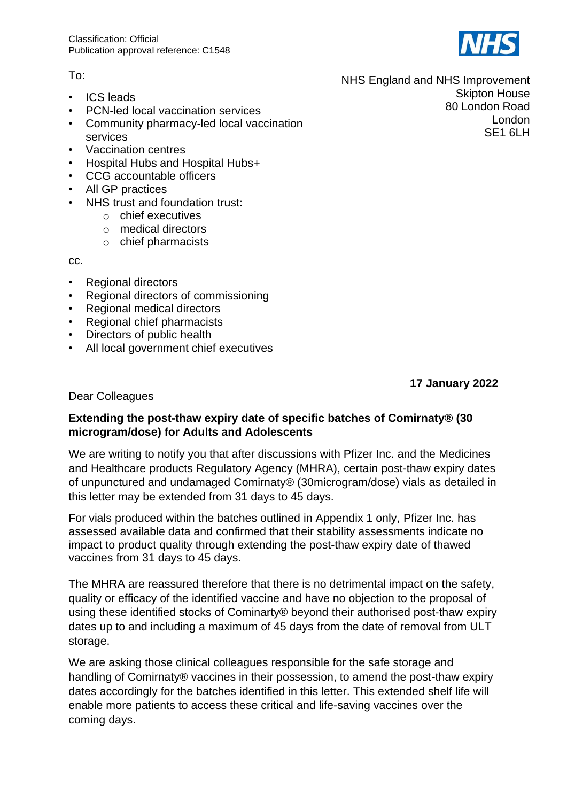## To:

- ICS leads
- PCN-led local vaccination services
- Community pharmacy-led local vaccination services
- Vaccination centres
- Hospital Hubs and Hospital Hubs+
- CCG accountable officers
- All GP practices
- NHS trust and foundation trust:
	- o chief executives
	- o medical directors
	- o chief pharmacists

cc.

- Regional directors
- Regional directors of commissioning
- Regional medical directors
- Regional chief pharmacists
- Directors of public health
- All local government chief executives

**17 January 2022**

## Dear Colleagues

## **Extending the post-thaw expiry date of specific batches of Comirnaty® (30 microgram/dose) for Adults and Adolescents**

We are writing to notify you that after discussions with Pfizer Inc. and the Medicines and Healthcare products Regulatory Agency (MHRA), certain post-thaw expiry dates of unpunctured and undamaged Comirnaty® (30microgram/dose) vials as detailed in this letter may be extended from 31 days to 45 days.

For vials produced within the batches outlined in Appendix 1 only, Pfizer Inc. has assessed available data and confirmed that their stability assessments indicate no impact to product quality through extending the post-thaw expiry date of thawed vaccines from 31 days to 45 days.

The MHRA are reassured therefore that there is no detrimental impact on the safety, quality or efficacy of the identified vaccine and have no objection to the proposal of using these identified stocks of Cominarty® beyond their authorised post-thaw expiry dates up to and including a maximum of 45 days from the date of removal from ULT storage.

We are asking those clinical colleagues responsible for the safe storage and handling of Comirnaty® vaccines in their possession, to amend the post-thaw expiry dates accordingly for the batches identified in this letter. This extended shelf life will enable more patients to access these critical and life-saving vaccines over the coming days.

NHS England and NHS Improvement Skipton House 80 London Road London SE1 6LH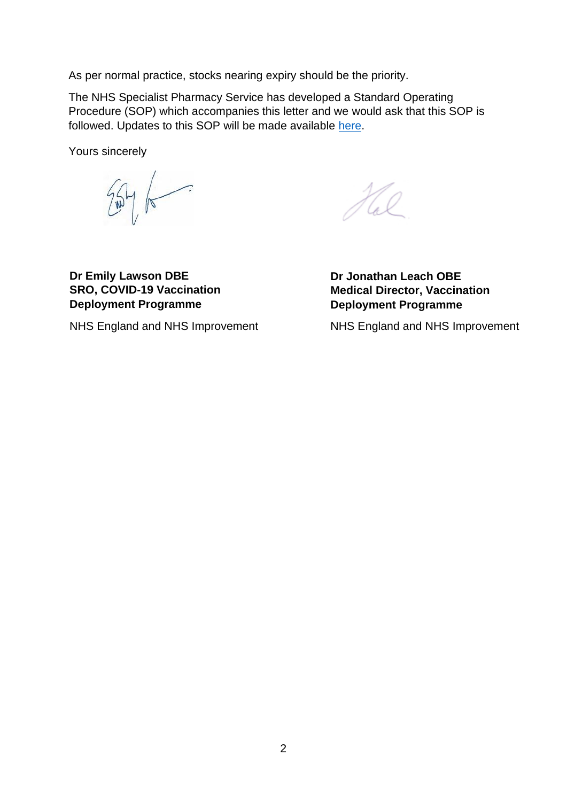As per normal practice, stocks nearing expiry should be the priority.

The NHS Specialist Pharmacy Service has developed a Standard Operating Procedure (SOP) which accompanies this letter and we would ask that this SOP is followed. Updates to this SOP will be made available [here.](http://www.sps.nhs.uk/)

Yours sincerely

 $2546$ 

 $\mathcal{H}_{a}^{\circ}$ 

**Dr Emily Lawson DBE SRO, COVID-19 Vaccination Deployment Programme**

NHS England and NHS Improvement

**Dr Jonathan Leach OBE Medical Director, Vaccination Deployment Programme**

NHS England and NHS Improvement